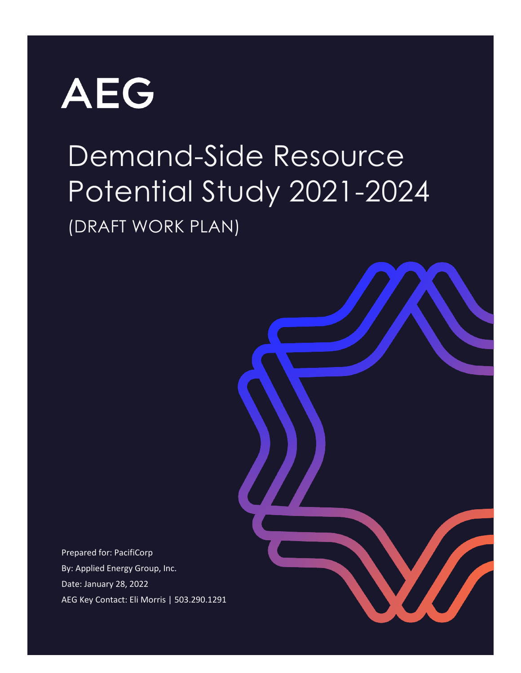

# Demand-Side Resource Potential Study 2021-2024 (DRAFT WORK PLAN)



Prepared for: PacifiCorp By: Applied Energy Group, Inc. Date: January 28, 2022 AEG Key Contact: Eli Morris | 503.290.1291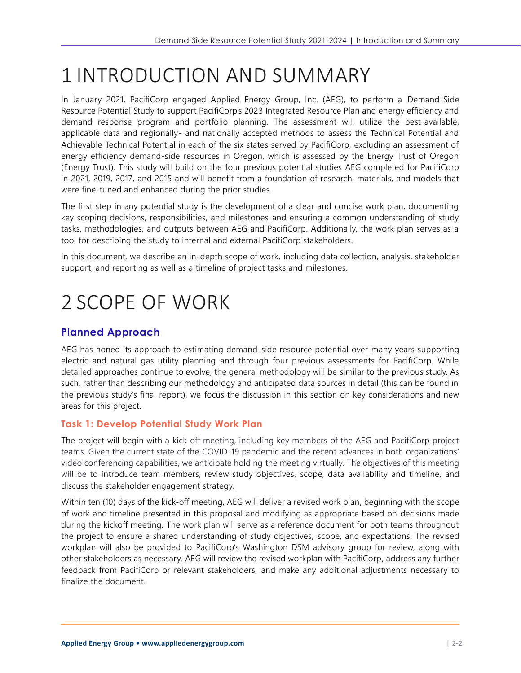# 1 INTRODUCTION AND SUMMARY

In January 2021, PacifiCorp engaged Applied Energy Group, Inc. (AEG), to perform a Demand-Side Resource Potential Study to support PacifiCorp's 2023 Integrated Resource Plan and energy efficiency and demand response program and portfolio planning. The assessment will utilize the best-available, applicable data and regionally- and nationally accepted methods to assess the Technical Potential and Achievable Technical Potential in each of the six states served by PacifiCorp, excluding an assessment of energy efficiency demand-side resources in Oregon, which is assessed by the Energy Trust of Oregon (Energy Trust). This study will build on the four previous potential studies AEG completed for PacifiCorp in 2021, 2019, 2017, and 2015 and will benefit from a foundation of research, materials, and models that were fine-tuned and enhanced during the prior studies.

The first step in any potential study is the development of a clear and concise work plan, documenting key scoping decisions, responsibilities, and milestones and ensuring a common understanding of study tasks, methodologies, and outputs between AEG and PacifiCorp. Additionally, the work plan serves as a tool for describing the study to internal and external PacifiCorp stakeholders.

In this document, we describe an in-depth scope of work, including data collection, analysis, stakeholder support, and reporting as well as a timeline of project tasks and milestones.

# 2 SCOPE OF WORK

# **Planned Approach**

AEG has honed its approach to estimating demand-side resource potential over many years supporting electric and natural gas utility planning and through four previous assessments for PacifiCorp. While detailed approaches continue to evolve, the general methodology will be similar to the previous study. As such, rather than describing our methodology and anticipated data sources in detail (this can be found in the previous study's final report), we focus the discussion in this section on key considerations and new areas for this project.

## **Task 1: Develop Potential Study Work Plan**

The project will begin with a kick-off meeting, including key members of the AEG and PacifiCorp project teams. Given the current state of the COVID-19 pandemic and the recent advances in both organizations' video conferencing capabilities, we anticipate holding the meeting virtually. The objectives of this meeting will be to introduce team members, review study objectives, scope, data availability and timeline, and discuss the stakeholder engagement strategy.

Within ten (10) days of the kick-off meeting, AEG will deliver a revised work plan, beginning with the scope of work and timeline presented in this proposal and modifying as appropriate based on decisions made during the kickoff meeting. The work plan will serve as a reference document for both teams throughout the project to ensure a shared understanding of study objectives, scope, and expectations. The revised workplan will also be provided to PacifiCorp's Washington DSM advisory group for review, along with other stakeholders as necessary. AEG will review the revised workplan with PacifiCorp, address any further feedback from PacifiCorp or relevant stakeholders, and make any additional adjustments necessary to finalize the document.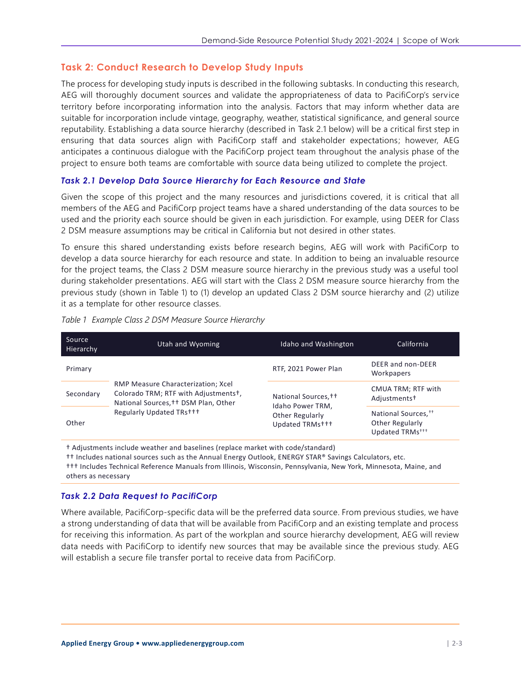### <span id="page-2-1"></span>**Task 2: Conduct Research to Develop Study Inputs**

The process for developing study inputs is described in the following subtasks. In conducting this research, AEG will thoroughly document sources and validate the appropriateness of data to PacifiCorp's service territory before incorporating information into the analysis. Factors that may inform whether data are suitable for incorporation include vintage, geography, weather, statistical significance, and general source reputability. Establishing a data source hierarchy (described in Task 2.1 below) will be a critical first step in ensuring that data sources align with PacifiCorp staff and stakeholder expectations; however, AEG anticipates a continuous dialogue with the PacifiCorp project team throughout the analysis phase of the project to ensure both teams are comfortable with source data being utilized to complete the project.

#### *Task 2.1 Develop Data Source Hierarchy for Each Resource and State*

Given the scope of this project and the many resources and jurisdictions covered, it is critical that all members of the AEG and PacifiCorp project teams have a shared understanding of the data sources to be used and the priority each source should be given in each jurisdiction. For example, using DEER for Class 2 DSM measure assumptions may be critical in California but not desired in other states.

To ensure this shared understanding exists before research begins, AEG will work with PacifiCorp to develop a data source hierarchy for each resource and state. In addition to being an invaluable resource for the project teams, the Class 2 DSM measure source hierarchy in the previous study was a useful tool during stakeholder presentations. AEG will start with the Class 2 DSM measure source hierarchy from the previous study (shown in [Table 1\)](#page-2-0) to (1) develop an updated Class 2 DSM source hierarchy and (2) utilize it as a template for other resource classes.

| Source<br>Hierarchy | Utah and Wyoming                                                                                                                               | Idaho and Washington                                                                      | California                                                                        |
|---------------------|------------------------------------------------------------------------------------------------------------------------------------------------|-------------------------------------------------------------------------------------------|-----------------------------------------------------------------------------------|
| Primary             | RMP Measure Characterization; Xcel<br>Colorado TRM; RTF with Adjustments+,<br>National Sources, †† DSM Plan, Other<br>Regularly Updated TRs+++ | RTF, 2021 Power Plan                                                                      | DEER and non-DEER<br>Workpapers                                                   |
| Secondary           |                                                                                                                                                | National Sources, <sup>++</sup><br>Idaho Power TRM,<br>Other Regularly<br>Updated TRMs+++ | CMUA TRM; RTF with<br>Adjustments <sup>+</sup>                                    |
| Other               |                                                                                                                                                |                                                                                           | National Sources, <sup>††</sup><br>Other Regularly<br>Updated TRMs <sup>+++</sup> |

<span id="page-2-0"></span>*Table 1 Example Class 2 DSM Measure Source Hierarchy*

† Adjustments include weather and baselines (replace market with code/standard)

†† Includes national sources such as the Annual Energy Outlook, ENERGY STAR® Savings Calculators, etc.

††† Includes Technical Reference Manuals from Illinois, Wisconsin, Pennsylvania, New York, Minnesota, Maine, and others as necessary

#### *Task 2.2 Data Request to PacifiCorp*

Where available, PacifiCorp-specific data will be the preferred data source. From previous studies, we have a strong understanding of data that will be available from PacifiCorp and an existing template and process for receiving this information. As part of the workplan and source hierarchy development, AEG will review data needs with PacifiCorp to identify new sources that may be available since the previous study. AEG will establish a secure file transfer portal to receive data from PacifiCorp.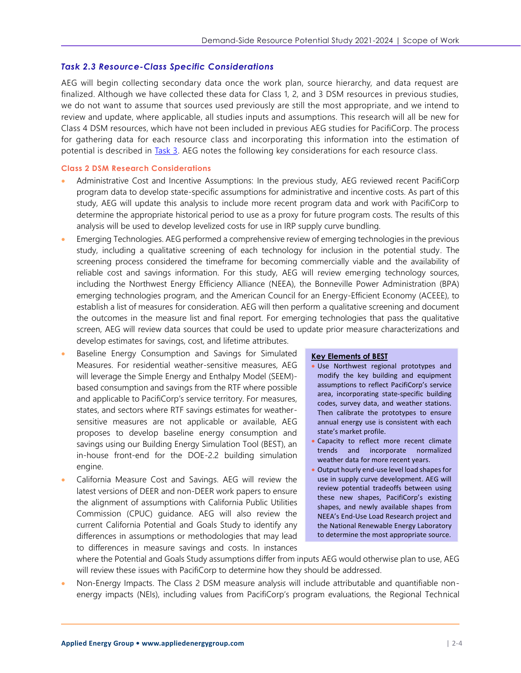#### *Task 2.3 Resource-Class Specific Considerations*

AEG will begin collecting secondary data once the work plan, source hierarchy, and data request are finalized. Although we have collected these data for Class 1, 2, and 3 DSM resources in previous studies, we do not want to assume that sources used previously are still the most appropriate, and we intend to review and update, where applicable, all studies inputs and assumptions. This research will all be new for Class 4 DSM resources, which have not been included in previous AEG studies for PacifiCorp. The process for gathering data for each resource class and incorporating this information into the estimation of potential is described in [Task 3.](#page-4-0) AEG notes the following key considerations for each resource class.

#### **Class 2 DSM Research Considerations**

- Administrative Cost and Incentive Assumptions: In the previous study, AEG reviewed recent PacifiCorp program data to develop state-specific assumptions for administrative and incentive costs. As part of this study, AEG will update this analysis to include more recent program data and work with PacifiCorp to determine the appropriate historical period to use as a proxy for future program costs. The results of this analysis will be used to develop levelized costs for use in IRP supply curve bundling.
- Emerging Technologies. AEG performed a comprehensive review of emerging technologies in the previous study, including a qualitative screening of each technology for inclusion in the potential study. The screening process considered the timeframe for becoming commercially viable and the availability of reliable cost and savings information. For this study, AEG will review emerging technology sources, including the Northwest Energy Efficiency Alliance (NEEA), the Bonneville Power Administration (BPA) emerging technologies program, and the American Council for an Energy-Efficient Economy (ACEEE), to establish a list of measures for consideration. AEG will then perform a qualitative screening and document the outcomes in the measure list and final report. For emerging technologies that pass the qualitative screen, AEG will review data sources that could be used to update prior measure characterizations and develop estimates for savings, cost, and lifetime attributes.
- Baseline Energy Consumption and Savings for Simulated Measures. For residential weather-sensitive measures, AEG will leverage the Simple Energy and Enthalpy Model (SEEM) based consumption and savings from the RTF where possible and applicable to PacifiCorp's service territory. For measures, states, and sectors where RTF savings estimates for weathersensitive measures are not applicable or available, AEG proposes to develop baseline energy consumption and savings using our Building Energy Simulation Tool (BEST), an in-house front-end for the DOE-2.2 building simulation engine.
- California Measure Cost and Savings. AEG will review the latest versions of DEER and non-DEER work papers to ensure the alignment of assumptions with California Public Utilities Commission (CPUC) guidance. AEG will also review the current California Potential and Goals Study to identify any differences in assumptions or methodologies that may lead to differences in measure savings and costs. In instances

#### **Key Elements of BEST**

- Use Northwest regional prototypes and modify the key building and equipment assumptions to reflect PacifiCorp's service area, incorporating state-specific building codes, survey data, and weather stations. Then calibrate the prototypes to ensure annual energy use is consistent with each state's market profile.
- Capacity to reflect more recent climate trends and incorporate normalized weather data for more recent years.
- Output hourly end-use level load shapes for use in supply curve development. AEG will review potential tradeoffs between using these new shapes, PacifiCorp's existing shapes, and newly available shapes from NEEA's End-Use Load Research project and the National Renewable Energy Laboratory to determine the most appropriate source.

where the Potential and Goals Study assumptions differ from inputs AEG would otherwise plan to use, AEG will review these issues with PacifiCorp to determine how they should be addressed.

• Non-Energy Impacts. The Class 2 DSM measure analysis will include attributable and quantifiable nonenergy impacts (NEIs), including values from PacifiCorp's program evaluations, the Regional Technical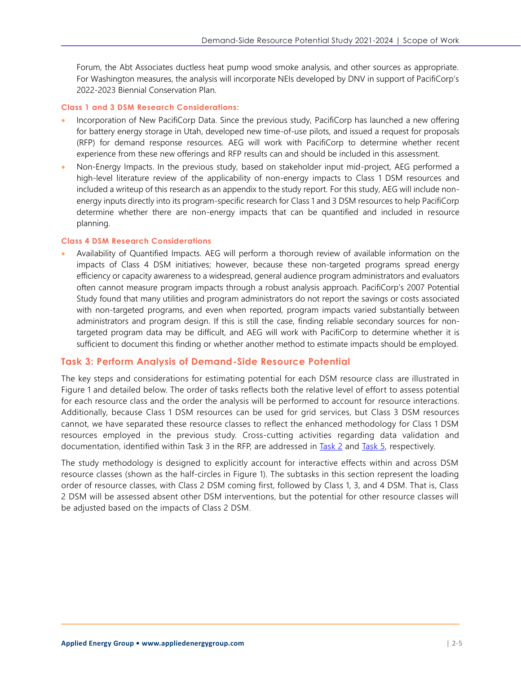Forum, the Abt Associates ductless heat pump wood smoke analysis, and other sources as appropriate. For Washington measures, the analysis will incorporate NEIs developed by DNV in support of PacifiCorp's 2022-2023 Biennial Conservation Plan.

#### **Class 1 and 3 DSM Research Considerations:**

- Incorporation of New PacifiCorp Data. Since the previous study, PacifiCorp has launched a new offering for battery energy storage in Utah, developed new time-of-use pilots, and issued a request for proposals (RFP) for demand response resources. AEG will work with PacifiCorp to determine whether recent experience from these new offerings and RFP results can and should be included in this assessment.
- Non-Energy Impacts. In the previous study, based on stakeholder input mid-project, AEG performed a high-level literature review of the applicability of non-energy impacts to Class 1 DSM resources and included a writeup of this research as an appendix to the study report. For this study, AEG will include nonenergy inputs directly into its program-specific research for Class 1 and 3 DSM resources to help PacifiCorp determine whether there are non-energy impacts that can be quantified and included in resource planning.

#### **Class 4 DSM Research Considerations**

• Availability of Quantified Impacts. AEG will perform a thorough review of available information on the impacts of Class 4 DSM initiatives; however, because these non-targeted programs spread energy efficiency or capacity awareness to a widespread, general audience program administrators and evaluators often cannot measure program impacts through a robust analysis approach. PacifiCorp's 2007 Potential Study found that many utilities and program administrators do not report the savings or costs associated with non-targeted programs, and even when reported, program impacts varied substantially between administrators and program design. If this is still the case, finding reliable secondary sources for nontargeted program data may be difficult, and AEG will work with PacifiCorp to determine whether it is sufficient to document this finding or whether another method to estimate impacts should be employed.

#### <span id="page-4-0"></span>**Task 3: Perform Analysis of Demand-Side Resource Potential**

The key steps and considerations for estimating potential for each DSM resource class are illustrated in [Figure 1](#page-5-0) and detailed below. The order of tasks reflects both the relative level of effort to assess potential for each resource class and the order the analysis will be performed to account for resource interactions. Additionally, because Class 1 DSM resources can be used for grid services, but Class 3 DSM resources cannot, we have separated these resource classes to reflect the enhanced methodology for Class 1 DSM resources employed in the previous study. Cross-cutting activities regarding data validation and documentation, identified within Task 3 in the RFP, are addressed in [Task 2](#page-2-1) and [Task 5,](#page-10-0) respectively.

The study methodology is designed to explicitly account for interactive effects within and across DSM resource classes (shown as the half-circles in [Figure 1\)](#page-5-0). The subtasks in this section represent the loading order of resource classes, with Class 2 DSM coming first, followed by Class 1, 3, and 4 DSM. That is, Class 2 DSM will be assessed absent other DSM interventions, but the potential for other resource classes will be adjusted based on the impacts of Class 2 DSM.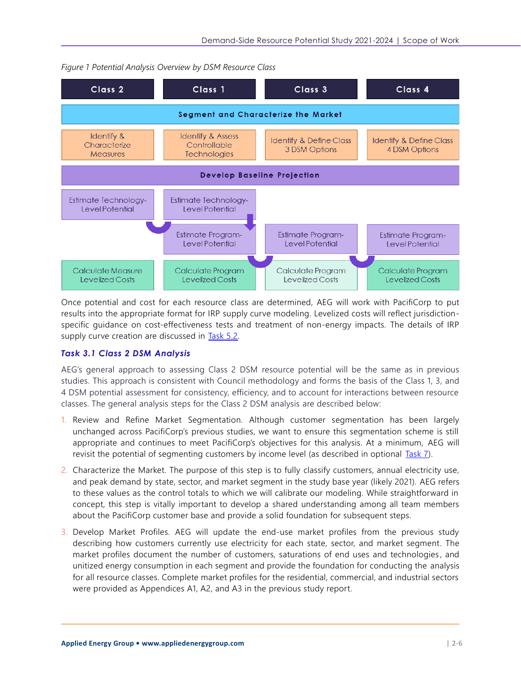

<span id="page-5-0"></span>*Figure 1 Potential Analysis Overview by DSM Resource Class*

Once potential and cost for each resource class are determined, AEG will work with PacifiCorp to put results into the appropriate format for IRP supply curve modeling. Levelized costs will reflect jurisdictionspecific guidance on cost-effectiveness tests and treatment of non-energy impacts. The details of IRP supply curve creation are discussed in [Task 5.2.](#page-11-0)

#### *Task 3.1 Class 2 DSM Analysis*

AEG's general approach to assessing Class 2 DSM resource potential will be the same as in previous studies. This approach is consistent with Council methodology and forms the basis of the Class 1, 3, and 4 DSM potential assessment for consistency, efficiency, and to account for interactions between resource classes. The general analysis steps for the Class 2 DSM analysis are described below:

- 1. Review and Refine Market Segmentation. Although customer segmentation has been largely unchanged across PacifiCorp's previous studies, we want to ensure this segmentation scheme is still appropriate and continues to meet PacifiCorp's objectives for this analysis. At a minimum, AEG will revisit the potential of segmenting customers by income level (as described in optional [Task 7\)](#page-12-0).
- 2. Characterize the Market. The purpose of this step is to fully classify customers, annual electricity use, and peak demand by state, sector, and market segment in the study base year (likely 2021). AEG refers to these values as the control totals to which we will calibrate our modeling. While straightforward in concept, this step is vitally important to develop a shared understanding among all team members about the PacifiCorp customer base and provide a solid foundation for subsequent steps.
- 3. Develop Market Profiles. AEG will update the end-use market profiles from the previous study describing how customers currently use electricity for each state, sector, and market segment. The market profiles document the number of customers, saturations of end uses and technologies , and unitized energy consumption in each segment and provide the foundation for conducting the analysis for all resource classes. Complete market profiles for the residential, commercial, and industrial sectors were provided as Appendices A1, A2, and A3 in the previous study report.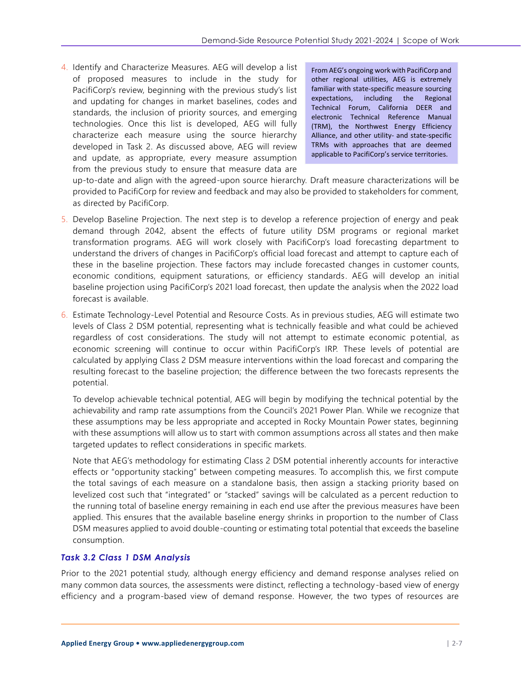4. Identify and Characterize Measures. AEG will develop a list of proposed measures to include in the study for PacifiCorp's review, beginning with the previous study's list and updating for changes in market baselines, codes and standards, the inclusion of priority sources, and emerging technologies. Once this list is developed, AEG will fully characterize each measure using the source hierarchy developed in Task 2. As discussed above, AEG will review and update, as appropriate, every measure assumption from the previous study to ensure that measure data are

From AEG's ongoing work with PacifiCorp and other regional utilities, AEG is extremely familiar with state-specific measure sourcing expectations, including the Regional Technical Forum, California DEER and electronic Technical Reference Manual (TRM), the Northwest Energy Efficiency Alliance, and other utility- and state-specific TRMs with approaches that are deemed applicable to PacifiCorp's service territories.

up-to-date and align with the agreed-upon source hierarchy. Draft measure characterizations will be provided to PacifiCorp for review and feedback and may also be provided to stakeholders for comment, as directed by PacifiCorp.

- 5. Develop Baseline Projection. The next step is to develop a reference projection of energy and peak demand through 2042, absent the effects of future utility DSM programs or regional market transformation programs. AEG will work closely with PacifiCorp's load forecasting department to understand the drivers of changes in PacifiCorp's official load forecast and attempt to capture each of these in the baseline projection. These factors may include forecasted changes in customer counts, economic conditions, equipment saturations, or efficiency standards . AEG will develop an initial baseline projection using PacifiCorp's 2021 load forecast, then update the analysis when the 2022 load forecast is available.
- 6. Estimate Technology-Level Potential and Resource Costs. As in previous studies, AEG will estimate two levels of Class 2 DSM potential, representing what is technically feasible and what could be achieved regardless of cost considerations. The study will not attempt to estimate economic potential, as economic screening will continue to occur within PacifiCorp's IRP. These levels of potential are calculated by applying Class 2 DSM measure interventions within the load forecast and comparing the resulting forecast to the baseline projection; the difference between the two forecasts represents the potential.

To develop achievable technical potential, AEG will begin by modifying the technical potential by the achievability and ramp rate assumptions from the Council's 2021 Power Plan. While we recognize that these assumptions may be less appropriate and accepted in Rocky Mountain Power states, beginning with these assumptions will allow us to start with common assumptions across all states and then make targeted updates to reflect considerations in specific markets.

Note that AEG's methodology for estimating Class 2 DSM potential inherently accounts for interactive effects or "opportunity stacking" between competing measures. To accomplish this, we first compute the total savings of each measure on a standalone basis, then assign a stacking priority based on levelized cost such that "integrated" or "stacked" savings will be calculated as a percent reduction to the running total of baseline energy remaining in each end use after the previous measures have been applied. This ensures that the available baseline energy shrinks in proportion to the number of Class DSM measures applied to avoid double-counting or estimating total potential that exceeds the baseline consumption.

#### *Task 3.2 Class 1 DSM Analysis*

Prior to the 2021 potential study, although energy efficiency and demand response analyses relied on many common data sources, the assessments were distinct, reflecting a technology -based view of energy efficiency and a program-based view of demand response. However, the two types of resources are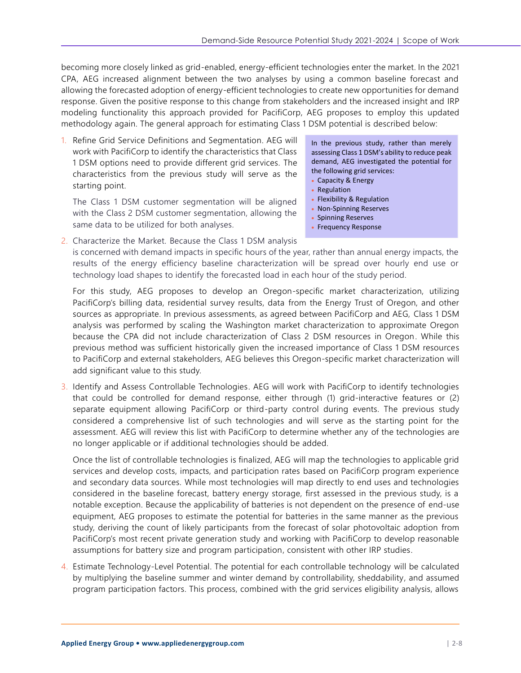becoming more closely linked as grid-enabled, energy-efficient technologies enter the market. In the 2021 CPA, AEG increased alignment between the two analyses by using a common baseline forecast and allowing the forecasted adoption of energy-efficient technologies to create new opportunities for demand response. Given the positive response to this change from stakeholders and the increased insight and IRP modeling functionality this approach provided for PacifiCorp, AEG proposes to employ this updated methodology again. The general approach for estimating Class 1 DSM potential is described below:

1. Refine Grid Service Definitions and Segmentation. AEG will work with PacifiCorp to identify the characteristics that Class 1 DSM options need to provide different grid services. The characteristics from the previous study will serve as the starting point.

The Class 1 DSM customer segmentation will be aligned with the Class 2 DSM customer segmentation, allowing the same data to be utilized for both analyses.

In the previous study, rather than merely assessing Class 1 DSM's ability to reduce peak demand, AEG investigated the potential for the following grid services:

- Capacity & Energy
- Regulation
- Flexibility & Regulation
- Non-Spinning Reserves
- Spinning Reserves
- Frequency Response

2. Characterize the Market. Because the Class 1 DSM analysis is concerned with demand impacts in specific hours of the year, rather than annual energy impacts, the results of the energy efficiency baseline characterization will be spread over hourly end use or technology load shapes to identify the forecasted load in each hour of the study period.

For this study, AEG proposes to develop an Oregon-specific market characterization, utilizing PacifiCorp's billing data, residential survey results, data from the Energy Trust of Oregon, and other sources as appropriate. In previous assessments, as agreed between PacifiCorp and AEG, Class 1 DSM analysis was performed by scaling the Washington market characterization to approximate Oregon because the CPA did not include characterization of Class 2 DSM resources in Oregon. While this previous method was sufficient historically given the increased importance of Class 1 DSM resources to PacifiCorp and external stakeholders, AEG believes this Oregon-specific market characterization will add significant value to this study.

3. Identify and Assess Controllable Technologies. AEG will work with PacifiCorp to identify technologies that could be controlled for demand response, either through (1) grid-interactive features or (2) separate equipment allowing PacifiCorp or third-party control during events. The previous study considered a comprehensive list of such technologies and will serve as the starting point for the assessment. AEG will review this list with PacifiCorp to determine whether any of the technologies are no longer applicable or if additional technologies should be added.

Once the list of controllable technologies is finalized, AEG will map the technologies to applicable grid services and develop costs, impacts, and participation rates based on PacifiCorp program experience and secondary data sources. While most technologies will map directly to end uses and technologies considered in the baseline forecast, battery energy storage, first assessed in the previous study, is a notable exception. Because the applicability of batteries is not dependent on the presence of end-use equipment, AEG proposes to estimate the potential for batteries in the same manner as the previous study, deriving the count of likely participants from the forecast of solar photovoltaic adoption from PacifiCorp's most recent private generation study and working with PacifiCorp to develop reasonable assumptions for battery size and program participation, consistent with other IRP studies.

4. Estimate Technology-Level Potential. The potential for each controllable technology will be calculated by multiplying the baseline summer and winter demand by controllability, sheddability, and assumed program participation factors. This process, combined with the grid services eligibility analysis, allows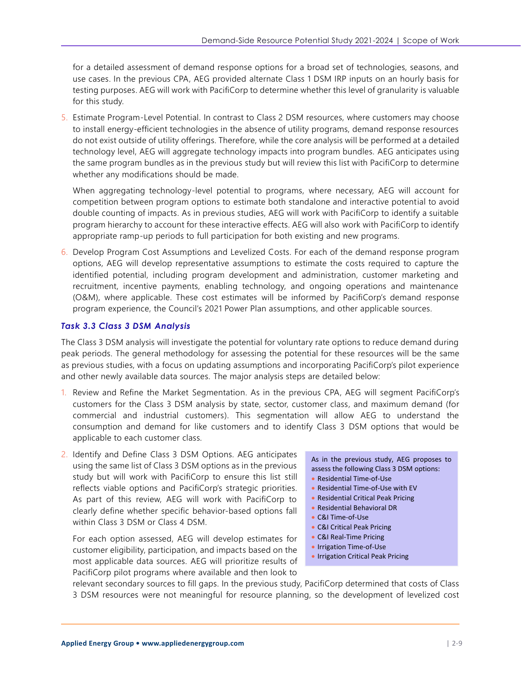for a detailed assessment of demand response options for a broad set of technologies, seasons, and use cases. In the previous CPA, AEG provided alternate Class 1 DSM IRP inputs on an hourly basis for testing purposes. AEG will work with PacifiCorp to determine whether this level of granularity is valuable for this study.

5. Estimate Program-Level Potential. In contrast to Class 2 DSM resources, where customers may choose to install energy-efficient technologies in the absence of utility programs, demand response resources do not exist outside of utility offerings. Therefore, while the core analysis will be performed at a detailed technology level, AEG will aggregate technology impacts into program bundles. AEG anticipates using the same program bundles as in the previous study but will review this list with PacifiCorp to determine whether any modifications should be made.

When aggregating technology-level potential to programs, where necessary, AEG will account for competition between program options to estimate both standalone and interactive potential to avoid double counting of impacts. As in previous studies, AEG will work with PacifiCorp to identify a suitable program hierarchy to account for these interactive effects. AEG will also work with PacifiCorp to identify appropriate ramp-up periods to full participation for both existing and new programs.

6. Develop Program Cost Assumptions and Levelized Costs. For each of the demand response program options, AEG will develop representative assumptions to estimate the costs required to capture the identified potential, including program development and administration, customer marketing and recruitment, incentive payments, enabling technology, and ongoing operations and maintenance (O&M), where applicable. These cost estimates will be informed by PacifiCorp's demand response program experience, the Council's 2021 Power Plan assumptions, and other applicable sources.

#### *Task 3.3 Class 3 DSM Analysis*

The Class 3 DSM analysis will investigate the potential for voluntary rate options to reduce demand during peak periods. The general methodology for assessing the potential for these resources will be the same as previous studies, with a focus on updating assumptions and incorporating PacifiCorp's pilot experience and other newly available data sources. The major analysis steps are detailed below:

- 1. Review and Refine the Market Segmentation. As in the previous CPA, AEG will segment PacifiCorp's customers for the Class 3 DSM analysis by state, sector, customer class, and maximum demand (for commercial and industrial customers). This segmentation will allow AEG to understand the consumption and demand for like customers and to identify Class 3 DSM options that would be applicable to each customer class.
- 2. Identify and Define Class 3 DSM Options. AEG anticipates using the same list of Class 3 DSM options as in the previous study but will work with PacifiCorp to ensure this list still reflects viable options and PacifiCorp's strategic priorities. As part of this review, AEG will work with PacifiCorp to clearly define whether specific behavior-based options fall within Class 3 DSM or Class 4 DSM.

For each option assessed, AEG will develop estimates for customer eligibility, participation, and impacts based on the most applicable data sources. AEG will prioritize results of PacifiCorp pilot programs where available and then look to

As in the previous study, AEG proposes to assess the following Class 3 DSM options:

- Residential Time-of-Use
- Residential Time-of-Use with EV
- Residential Critical Peak Pricing
- Residential Behavioral DR
- C&I Time-of-Use
- C&I Critical Peak Pricing
- C&I Real-Time Pricing
- Irrigation Time-of-Use
- Irrigation Critical Peak Pricing

relevant secondary sources to fill gaps. In the previous study, PacifiCorp determined that costs of Class 3 DSM resources were not meaningful for resource planning, so the development of levelized cost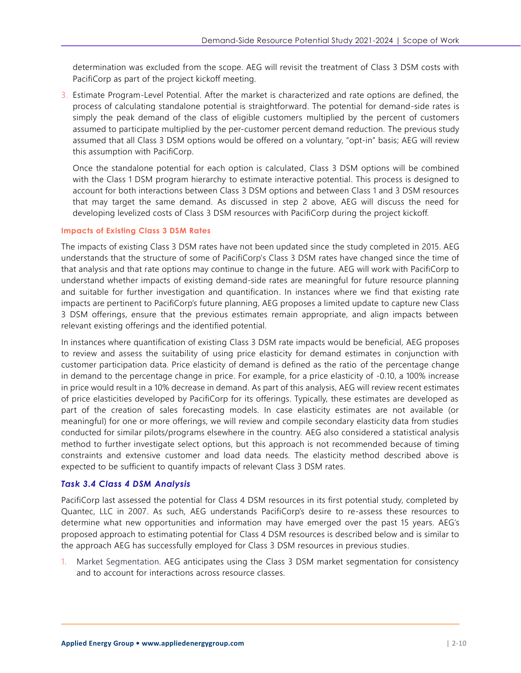determination was excluded from the scope. AEG will revisit the treatment of Class 3 DSM costs with PacifiCorp as part of the project kickoff meeting.

3. Estimate Program-Level Potential. After the market is characterized and rate options are defined, the process of calculating standalone potential is straightforward. The potential for demand-side rates is simply the peak demand of the class of eligible customers multiplied by the percent of customers assumed to participate multiplied by the per-customer percent demand reduction. The previous study assumed that all Class 3 DSM options would be offered on a voluntary, "opt-in" basis; AEG will review this assumption with PacifiCorp.

Once the standalone potential for each option is calculated, Class 3 DSM options will be combined with the Class 1 DSM program hierarchy to estimate interactive potential. This process is designed to account for both interactions between Class 3 DSM options and between Class 1 and 3 DSM resources that may target the same demand. As discussed in step 2 above, AEG will discuss the need for developing levelized costs of Class 3 DSM resources with PacifiCorp during the project kickoff.

#### **Impacts of Existing Class 3 DSM Rates**

The impacts of existing Class 3 DSM rates have not been updated since the study completed in 2015. AEG understands that the structure of some of PacifiCorp's Class 3 DSM rates have changed since the time of that analysis and that rate options may continue to change in the future. AEG will work with PacifiCorp to understand whether impacts of existing demand-side rates are meaningful for future resource planning and suitable for further investigation and quantification. In instances where we find that existing rate impacts are pertinent to PacifiCorp's future planning, AEG proposes a limited update to capture new Class 3 DSM offerings, ensure that the previous estimates remain appropriate, and align impacts between relevant existing offerings and the identified potential.

In instances where quantification of existing Class 3 DSM rate impacts would be beneficial, AEG proposes to review and assess the suitability of using price elasticity for demand estimates in conjunction with customer participation data. Price elasticity of demand is defined as the ratio of the percentage change in demand to the percentage change in price. For example, for a price elasticity of -0.10, a 100% increase in price would result in a 10% decrease in demand. As part of this analysis, AEG will review recent estimates of price elasticities developed by PacifiCorp for its offerings. Typically, these estimates are developed as part of the creation of sales forecasting models. In case elasticity estimates are not available (or meaningful) for one or more offerings, we will review and compile secondary elasticity data from studies conducted for similar pilots/programs elsewhere in the country. AEG also considered a statistical analysis method to further investigate select options, but this approach is not recommended because of timing constraints and extensive customer and load data needs. The elasticity method described above is expected to be sufficient to quantify impacts of relevant Class 3 DSM rates.

#### *Task 3.4 Class 4 DSM Analysis*

PacifiCorp last assessed the potential for Class 4 DSM resources in its first potential study, completed by Quantec, LLC in 2007. As such, AEG understands PacifiCorp's desire to re-assess these resources to determine what new opportunities and information may have emerged over the past 15 years. AEG's proposed approach to estimating potential for Class 4 DSM resources is described below and is similar to the approach AEG has successfully employed for Class 3 DSM resources in previous studies.

1. Market Segmentation. AEG anticipates using the Class 3 DSM market segmentation for consistency and to account for interactions across resource classes.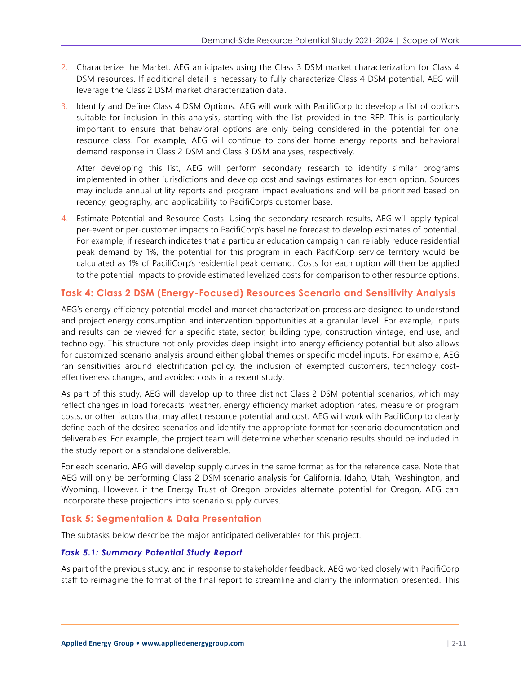- 2. Characterize the Market. AEG anticipates using the Class 3 DSM market characterization for Class 4 DSM resources. If additional detail is necessary to fully characterize Class 4 DSM potential, AEG will leverage the Class 2 DSM market characterization data.
- 3. Identify and Define Class 4 DSM Options. AEG will work with PacifiCorp to develop a list of options suitable for inclusion in this analysis, starting with the list provided in the RFP. This is particularly important to ensure that behavioral options are only being considered in the potential for one resource class. For example, AEG will continue to consider home energy reports and behavioral demand response in Class 2 DSM and Class 3 DSM analyses, respectively.

After developing this list, AEG will perform secondary research to identify similar programs implemented in other jurisdictions and develop cost and savings estimates for each option. Sources may include annual utility reports and program impact evaluations and will be prioritized based on recency, geography, and applicability to PacifiCorp's customer base.

4. Estimate Potential and Resource Costs. Using the secondary research results, AEG will apply typical per-event or per-customer impacts to PacifiCorp's baseline forecast to develop estimates of potential . For example, if research indicates that a particular education campaign can reliably reduce residential peak demand by 1%, the potential for this program in each PacifiCorp service territory would be calculated as 1% of PacifiCorp's residential peak demand. Costs for each option will then be applied to the potential impacts to provide estimated levelized costs for comparison to other resource options.

## **Task 4: Class 2 DSM (Energy-Focused) Resources Scenario and Sensitivity Analysis**

AEG's energy efficiency potential model and market characterization process are designed to understand and project energy consumption and intervention opportunities at a granular level. For example, inputs and results can be viewed for a specific state, sector, building type, construction vintage, end use, and technology. This structure not only provides deep insight into energy efficiency potential but also allows for customized scenario analysis around either global themes or specific model inputs. For example, AEG ran sensitivities around electrification policy, the inclusion of exempted customers, technology costeffectiveness changes, and avoided costs in a recent study.

As part of this study, AEG will develop up to three distinct Class 2 DSM potential scenarios, which may reflect changes in load forecasts, weather, energy efficiency market adoption rates, measure or program costs, or other factors that may affect resource potential and cost. AEG will work with PacifiCorp to clearly define each of the desired scenarios and identify the appropriate format for scenario documentation and deliverables. For example, the project team will determine whether scenario results should be included in the study report or a standalone deliverable.

For each scenario, AEG will develop supply curves in the same format as for the reference case. Note that AEG will only be performing Class 2 DSM scenario analysis for California, Idaho, Utah, Washington, and Wyoming. However, if the Energy Trust of Oregon provides alternate potential for Oregon, AEG can incorporate these projections into scenario supply curves.

#### <span id="page-10-0"></span>**Task 5: Segmentation & Data Presentation**

The subtasks below describe the major anticipated deliverables for this project.

#### *Task 5.1: Summary Potential Study Report*

As part of the previous study, and in response to stakeholder feedback, AEG worked closely with PacifiCorp staff to reimagine the format of the final report to streamline and clarify the information presented. This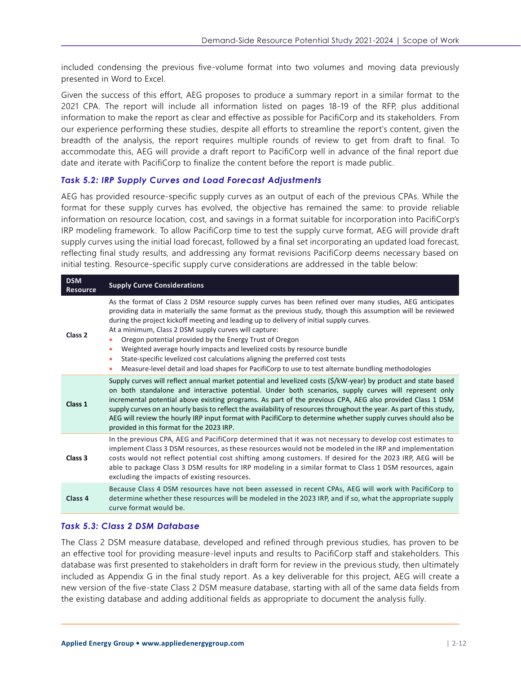included condensing the previous five-volume format into two volumes and moving data previously presented in Word to Excel.

Given the success of this effort, AEG proposes to produce a summary report in a similar format to the 2021 CPA. The report will include all information listed on pages 18-19 of the RFP, plus additional information to make the report as clear and effective as possible for PacifiCorp and its stakeholders. From our experience performing these studies, despite all efforts to streamline the report's content, given the breadth of the analysis, the report requires multiple rounds of review to get from draft to final. To accommodate this, AEG will provide a draft report to PacifiCorp well in advance of the final report due date and iterate with PacifiCorp to finalize the content before the report is made public.

#### <span id="page-11-0"></span>*Task 5.2: IRP Supply Curves and Load Forecast Adjustments*

AEG has provided resource-specific supply curves as an output of each of the previous CPAs. While the format for these supply curves has evolved, the objective has remained the same: to provide reliable information on resource location, cost, and savings in a format suitable for incorporation into PacifiCorp's IRP modeling framework. To allow PacifiCorp time to test the supply curve format, AEG will provide draft supply curves using the initial load forecast, followed by a final set incorporating an updated load forecast, reflecting final study results, and addressing any format revisions PacifiCorp deems necessary based on initial testing. Resource-specific supply curve considerations are addressed in the table below:

| <b>DSM</b><br><b>Resource</b> | <b>Supply Curve Considerations</b>                                                                                                                                                                                                                                                                                                                                                                                                                                                                                                                                                                                                                                                                     |
|-------------------------------|--------------------------------------------------------------------------------------------------------------------------------------------------------------------------------------------------------------------------------------------------------------------------------------------------------------------------------------------------------------------------------------------------------------------------------------------------------------------------------------------------------------------------------------------------------------------------------------------------------------------------------------------------------------------------------------------------------|
| Class <sub>2</sub>            | As the format of Class 2 DSM resource supply curves has been refined over many studies, AEG anticipates<br>providing data in materially the same format as the previous study, though this assumption will be reviewed<br>during the project kickoff meeting and leading up to delivery of initial supply curves.<br>At a minimum, Class 2 DSM supply curves will capture:<br>Oregon potential provided by the Energy Trust of Oregon<br>Weighted average hourly impacts and levelized costs by resource bundle<br>State-specific levelized cost calculations aligning the preferred cost tests<br>Measure-level detail and load shapes for PacifiCorp to use to test alternate bundling methodologies |
| Class <sub>1</sub>            | Supply curves will reflect annual market potential and levelized costs (\$/kW-year) by product and state based<br>on both standalone and interactive potential. Under both scenarios, supply curves will represent only<br>incremental potential above existing programs. As part of the previous CPA, AEG also provided Class 1 DSM<br>supply curves on an hourly basis to reflect the availability of resources throughout the year. As part of this study,<br>AEG will review the hourly IRP input format with PacifiCorp to determine whether supply curves should also be<br>provided in this format for the 2023 IRP.                                                                            |
| Class 3                       | In the previous CPA, AEG and PacifiCorp determined that it was not necessary to develop cost estimates to<br>implement Class 3 DSM resources, as these resources would not be modeled in the IRP and implementation<br>costs would not reflect potential cost shifting among customers. If desired for the 2023 IRP, AEG will be<br>able to package Class 3 DSM results for IRP modeling in a similar format to Class 1 DSM resources, again<br>excluding the impacts of existing resources.                                                                                                                                                                                                           |
| Class <sub>4</sub>            | Because Class 4 DSM resources have not been assessed in recent CPAs, AEG will work with PacifiCorp to<br>determine whether these resources will be modeled in the 2023 IRP, and if so, what the appropriate supply<br>curve format would be.                                                                                                                                                                                                                                                                                                                                                                                                                                                           |

#### *Task 5.3: Class 2 DSM Database*

The Class 2 DSM measure database, developed and refined through previous studies, has proven to be an effective tool for providing measure-level inputs and results to PacifiCorp staff and stakeholders. This database was first presented to stakeholders in draft form for review in the previous study, then ultimately included as Appendix G in the final study report. As a key deliverable for this project, AEG will create a new version of the five-state Class 2 DSM measure database, starting with all of the same data fields from the existing database and adding additional fields as appropriate to document the analysis fully.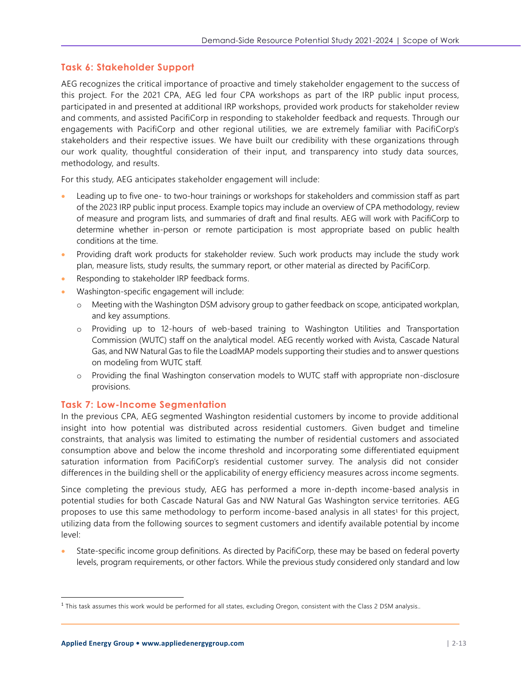#### **Task 6: Stakeholder Support**

AEG recognizes the critical importance of proactive and timely stakeholder engagement to the success of this project. For the 2021 CPA, AEG led four CPA workshops as part of the IRP public input process, participated in and presented at additional IRP workshops, provided work products for stakeholder review and comments, and assisted PacifiCorp in responding to stakeholder feedback and requests. Through our engagements with PacifiCorp and other regional utilities, we are extremely familiar with PacifiCorp's stakeholders and their respective issues. We have built our credibility with these organizations through our work quality, thoughtful consideration of their input, and transparency into study data sources, methodology, and results.

For this study, AEG anticipates stakeholder engagement will include:

- Leading up to five one- to two-hour trainings or workshops for stakeholders and commission staff as part of the 2023 IRP public input process. Example topics may include an overview of CPA methodology, review of measure and program lists, and summaries of draft and final results. AEG will work with PacifiCorp to determine whether in-person or remote participation is most appropriate based on public health conditions at the time.
- Providing draft work products for stakeholder review. Such work products may include the study work plan, measure lists, study results, the summary report, or other material as directed by PacifiCorp.
- Responding to stakeholder IRP feedback forms.
- Washington-specific engagement will include:
	- o Meeting with the Washington DSM advisory group to gather feedback on scope, anticipated workplan, and key assumptions.
	- o Providing up to 12-hours of web-based training to Washington Utilities and Transportation Commission (WUTC) staff on the analytical model. AEG recently worked with Avista, Cascade Natural Gas, and NW Natural Gas to file the LoadMAP models supporting their studies and to answer questions on modeling from WUTC staff.
	- o Providing the final Washington conservation models to WUTC staff with appropriate non-disclosure provisions.

#### <span id="page-12-0"></span>**Task 7: Low-Income Segmentation**

In the previous CPA, AEG segmented Washington residential customers by income to provide additional insight into how potential was distributed across residential customers. Given budget and timeline constraints, that analysis was limited to estimating the number of residential customers and associated consumption above and below the income threshold and incorporating some differentiated equipment saturation information from PacifiCorp's residential customer survey. The analysis did not consider differences in the building shell or the applicability of energy efficiency measures across income segments.

Since completing the previous study, AEG has performed a more in-depth income-based analysis in potential studies for both Cascade Natural Gas and NW Natural Gas Washington service territories. AEG proposes to use this same methodology to perform income-based analysis in all states<sup>1</sup> for this project, utilizing data from the following sources to segment customers and identify available potential by income level:

State-specific income group definitions. As directed by PacifiCorp, these may be based on federal poverty levels, program requirements, or other factors. While the previous study considered only standard and low

<sup>&</sup>lt;sup>1</sup> This task assumes this work would be performed for all states, excluding Oregon, consistent with the Class 2 DSM analysis..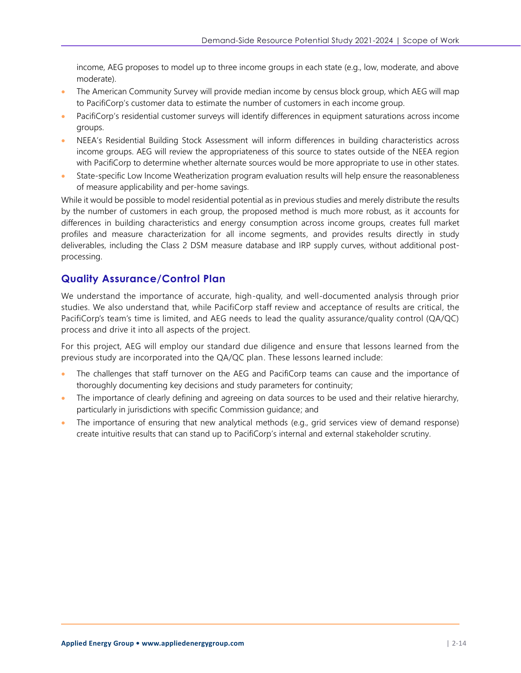income, AEG proposes to model up to three income groups in each state (e.g., low, moderate, and above moderate).

- The American Community Survey will provide median income by census block group, which AEG will map to PacifiCorp's customer data to estimate the number of customers in each income group.
- PacifiCorp's residential customer surveys will identify differences in equipment saturations across income groups.
- NEEA's Residential Building Stock Assessment will inform differences in building characteristics across income groups. AEG will review the appropriateness of this source to states outside of the NEEA region with PacifiCorp to determine whether alternate sources would be more appropriate to use in other states.
- State-specific Low Income Weatherization program evaluation results will help ensure the reasonableness of measure applicability and per-home savings.

While it would be possible to model residential potential as in previous studies and merely distribute the results by the number of customers in each group, the proposed method is much more robust, as it accounts for differences in building characteristics and energy consumption across income groups, creates full market profiles and measure characterization for all income segments, and provides results directly in study deliverables, including the Class 2 DSM measure database and IRP supply curves, without additional postprocessing.

# **Quality Assurance/Control Plan**

We understand the importance of accurate, high-quality, and well-documented analysis through prior studies. We also understand that, while PacifiCorp staff review and acceptance of results are critical, the PacifiCorp's team's time is limited, and AEG needs to lead the quality assurance/quality control (QA/QC) process and drive it into all aspects of the project.

For this project, AEG will employ our standard due diligence and ensure that lessons learned from the previous study are incorporated into the QA/QC plan. These lessons learned include:

- The challenges that staff turnover on the AEG and PacifiCorp teams can cause and the importance of thoroughly documenting key decisions and study parameters for continuity;
- The importance of clearly defining and agreeing on data sources to be used and their relative hierarchy, particularly in jurisdictions with specific Commission guidance; and
- The importance of ensuring that new analytical methods (e.g., grid services view of demand response) create intuitive results that can stand up to PacifiCorp's internal and external stakeholder scrutiny.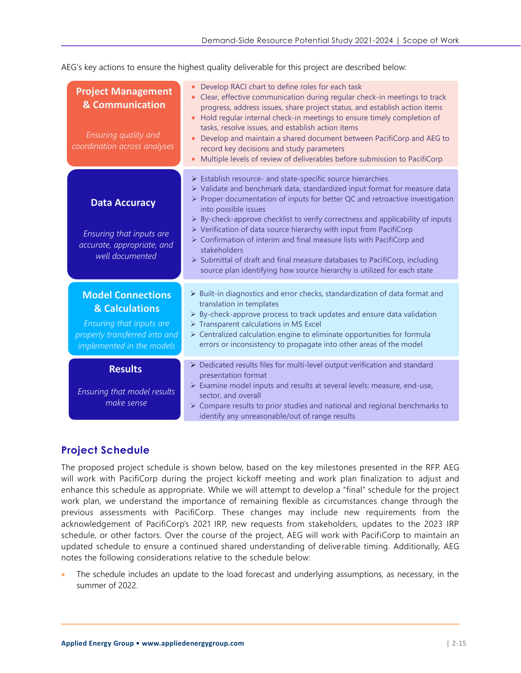AEG's key actions to ensure the highest quality deliverable for this project are described below:

| <b>Project Management</b><br>& Communication<br>Ensuring quality and<br>coordination across analyses                                 | Develop RACI chart to define roles for each task<br>Clear, effective communication during regular check-in meetings to track<br>$\bullet$<br>progress, address issues, share project status, and establish action items<br>Hold regular internal check-in meetings to ensure timely completion of<br>$\bullet$<br>tasks, resolve issues, and establish action items<br>Develop and maintain a shared document between PacifiCorp and AEG to<br>record key decisions and study parameters<br>Multiple levels of review of deliverables before submission to PacifiCorp                                                                                                                                  |
|--------------------------------------------------------------------------------------------------------------------------------------|--------------------------------------------------------------------------------------------------------------------------------------------------------------------------------------------------------------------------------------------------------------------------------------------------------------------------------------------------------------------------------------------------------------------------------------------------------------------------------------------------------------------------------------------------------------------------------------------------------------------------------------------------------------------------------------------------------|
| <b>Data Accuracy</b><br>Ensuring that inputs are<br>accurate, appropriate, and<br>well documented                                    | > Establish resource- and state-specific source hierarchies<br>> Validate and benchmark data, standardized input format for measure data<br>> Proper documentation of inputs for better QC and retroactive investigation<br>into possible issues<br>$\triangleright$ By-check-approve checklist to verify correctness and applicability of inputs<br>$\triangleright$ Verification of data source hierarchy with input from PacifiCorp<br>$\triangleright$ Confirmation of interim and final measure lists with PacifiCorp and<br>stakeholders<br>> Submittal of draft and final measure databases to PacifiCorp, including<br>source plan identifying how source hierarchy is utilized for each state |
| <b>Model Connections</b><br>& Calculations<br>Ensuring that inputs are<br>properly transferred into and<br>implemented in the models | $\triangleright$ Built-in diagnostics and error checks, standardization of data format and<br>translation in templates<br>> By-check-approve process to track updates and ensure data validation<br>> Transparent calculations in MS Excel<br>> Centralized calculation engine to eliminate opportunities for formula<br>errors or inconsistency to propagate into other areas of the model                                                                                                                                                                                                                                                                                                            |
| <b>Results</b><br>Ensuring that model results<br>make sense                                                                          | > Dedicated results files for multi-level output verification and standard<br>presentation format<br>> Examine model inputs and results at several levels: measure, end-use,<br>sector, and overall<br>$\triangleright$ Compare results to prior studies and national and regional benchmarks to<br>identify any unreasonable/out of range results                                                                                                                                                                                                                                                                                                                                                     |

# **Project Schedule**

The proposed project schedule is shown below, based on the key milestones presented in the RFP. AEG will work with PacifiCorp during the project kickoff meeting and work plan finalization to adjust and enhance this schedule as appropriate. While we will attempt to develop a "final" schedule for the project work plan, we understand the importance of remaining flexible as circumstances change through the previous assessments with PacifiCorp. These changes may include new requirements from the acknowledgement of PacifiCorp's 2021 IRP, new requests from stakeholders, updates to the 2023 IRP schedule, or other factors. Over the course of the project, AEG will work with PacifiCorp to maintain an updated schedule to ensure a continued shared understanding of deliverable timing. Additionally, AEG notes the following considerations relative to the schedule below:

The schedule includes an update to the load forecast and underlying assumptions, as necessary, in the summer of 2022.